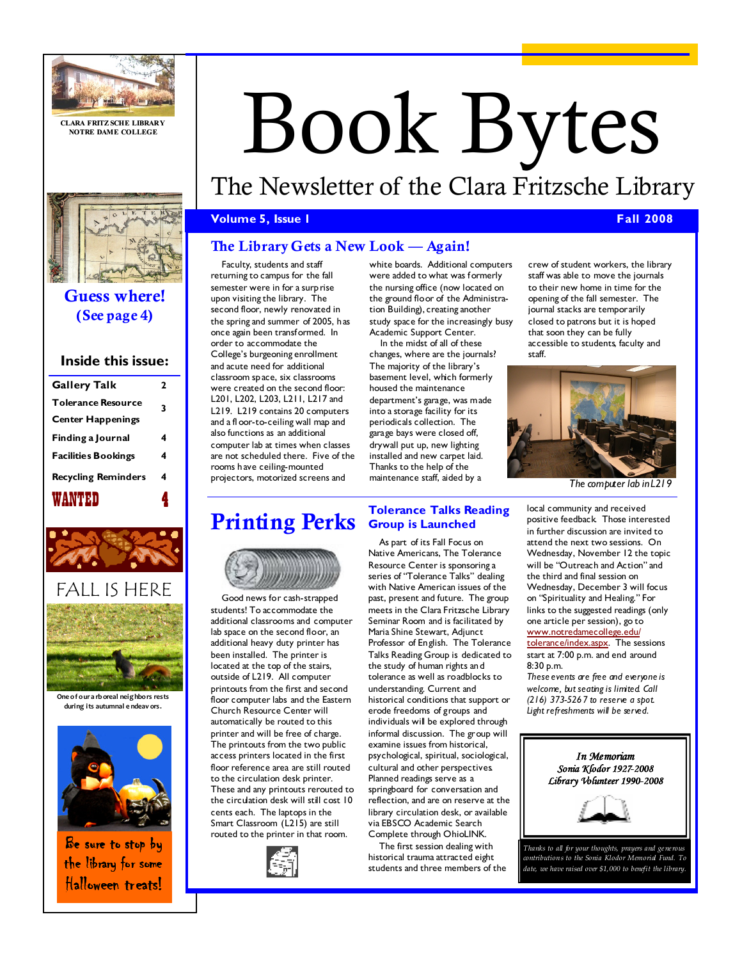

CLARA FRITZ SCHE LIBRARY NOTRE DAME COLLEGE



## Guess where! (See page 4)

#### Inside this issue:

| <b>Gallery Talk</b>        | 2 |
|----------------------------|---|
| <b>Tolerance Resource</b>  | 3 |
| <b>Center Happenings</b>   |   |
| Finding a Journal          | 4 |
| <b>Facilities Bookings</b> | 4 |
| <b>Recycling Reminders</b> | 4 |
| WANTED                     |   |



FALL IS HERE



One o f o ur a rb oreal neig hbo rs rests during its autumnal e ndeav ors.



Be sure to stop by the library for some Halloween treats!

# Book Bytes

# The Newsletter of the Clara Fritzsche Library

#### **Volume 5, Issue 1 Fall 2008**

#### The Library Gets a New Look — Again!

Faculty, students and staff returning to campus for the fall semester were in for a surp rise upon visiting the library. The second floor, newly renovated in the spring and summer of 2005, has once again been transformed. In order to accommodate the College's burgeoning enrollment and acute need for additional classroom space, six classrooms were created on the second floor: L201, L202, L203, L211, L217 and L219. L219 contains 20 computers and a fl oor-to-ceiling wall map and also functions as an additional computer lab at times when classes are not scheduled there. Five of the rooms have ceiling-mounted projectors, motorized screens and

white boards. Additional computers were added to what was formerly the nursing office (now located on the ground floor of the Administration Building), creating another study space for the increasingly busy Academic Support Center.

In the midst of all of these changes, where are the journals? The majority of the library's basement level, which formerly housed the maintenance

department's garage, was made into a storage facility for its periodicals collection. The garage bays were closed off, drywall put up, new lighting installed and new carpet laid. Thanks to the help of the maintenance staff, aided by a

crew of student workers, the library staff was able to move the journals to their new home in time for the opening of the fall semester. The journal stacks are temporarily closed to patrons but it is hoped that soon they can be fully accessible to students, faculty and staff.



The computer lab in L219

## Printing Perks



Good news for cash-strapped students! To accommodate the additional classrooms and computer lab space on the second floor, an additional heavy duty printer has been installed. The printer is located at the top of the stairs, outside of L219. All computer printouts from the first and second floor computer labs and the Eastern Church Resource Center will automatically be routed to this printer and will be free of charge. The printouts from the two public access printers located in the first floor reference area are still routed to the circulation desk printer. These and any printouts rerouted to the circulation desk will still cost 10 cents each. The laptops in the Smart Classroom (L215) are still routed to the printer in that room.



#### Tolerance Talks Reading Group is Launched

As part of its Fall Focus on Native Americans, The Tolerance Resource Center is sponsoring a series of "Tolerance Talks" dealing with Native American issues of the past, present and future. The group meets in the Clara Fritzsche Library Seminar Room and is facilitated by Maria Shine Stewart, Adjunct Professor of English. The Tolerance Talks Reading Group is dedicated to the study of human rights and tolerance as well as roadblocks to understanding. Current and historical conditions that support or erode freedoms of groups and individuals will be explored through informal discussion. The group will examine issues from historical, psychological, spiritual, sociological, cultural and other perspectives. Planned readings serve as a springboard for conversation and reflection, and are on reserve at the library circulation desk, or available via EBSCO Academic Search Complete through OhioLINK.

The first session dealing with historical trauma attracted eight students and three members of the local community and received positive feedback. Those interested in further discussion are invited to attend the next two sessions. On Wednesday, November 12 the topic will be "Outreach and Action" and the third and final session on Wednesday, December 3 will focus on "Spirituality and Healing." For links to the suggested readings (only one article per session), go to www.notredamecollege.edu/ tolerance/index.aspx. The sessions start at 7:00 p.m. and end around 8:30 p.m.

These events are free and everyone is welcome, but seating is limited. Call (216) 373-5267 to reserve a spot. Light refreshments will be served.



Thanks to all for your thoughts, prayers and generous contributions to the Sonia Klodor Memorial Fund. To date, we have raised over \$1,000 to benefit the library.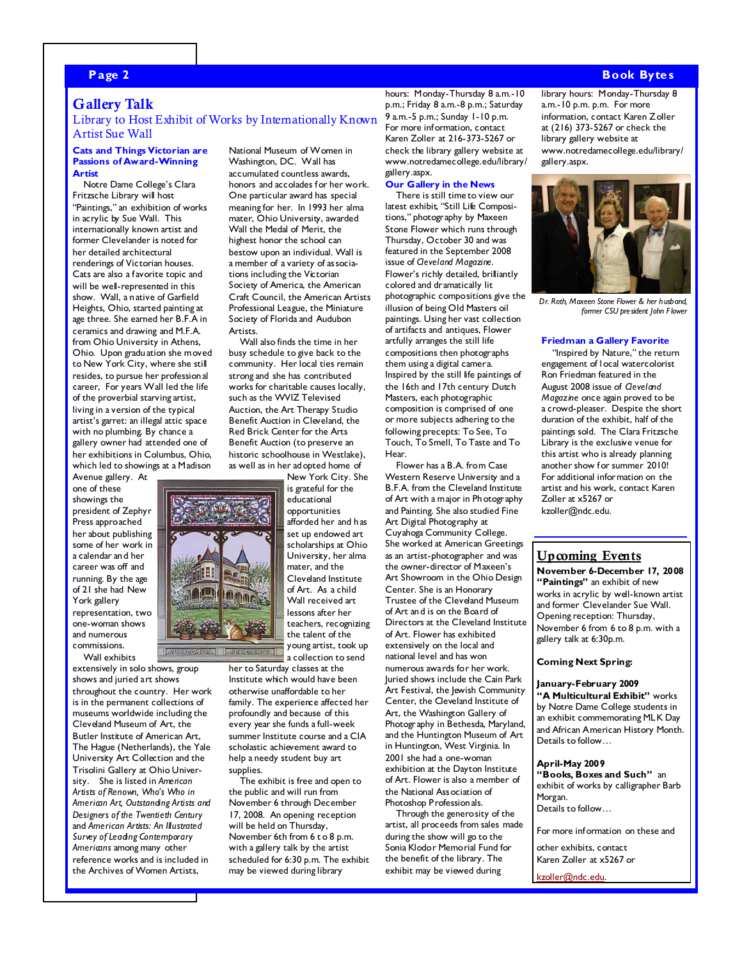#### Page 2 Book Bytes such a state of the state of the state of the state of the state  $\sim$  Book Bytes such as  $\sim$

#### Gallery Talk

#### Library to Host Exhibit of Works by Internationally Known Artist Sue Wall

#### Cats and Things Victorian are Passions of Award-Winning Artist

Notre Dame College's Clara Fritzsche Library will host "Paintings," an exhibition of works in acrylic by Sue Wall. This internationally known artist and former Clevelander is noted for her detailed architectural renderings of Victorian houses. Cats are also a favorite topic and will be well-represented in this show. Wall, a native of Garfield Heights, Ohio, started painting at age three. She earned her B.F.A in ceramics and drawing and M.F.A. from Ohio University in Athens, Ohio. Upon graduation she moved to New York City, where she still resides, to pursue her professional career, For years Wall led the life of the proverbial starving artist, living in a version of the typical artist's garret: an illegal attic space with no plumbing. By chance a gallery owner had attended one of her exhibitions in Columbus, Ohio, which led to showings at a Madison Avenue gallery. At

one of these showings the president of Zephyr Press approached her about publishing some of her work in a calendar and her career was off and running. By the age of 21 she had New York gallery representation, two one-woman shows and numerous commissions.

Wall exhibits

extensively in solo shows, group shows and juried art shows throughout the country. Her work is in the permanent collections of museums worldwide including the Cleveland Museum of Art, the Butler Institute of American Art, The Hague (Netherlands), the Yale University Art Collection and the Trisolini Gallery at Ohio University. She is listed in American Artists of Renown, Who's Who in American Art, Outstanding Artists and Designers of the Twentieth Century and American Artists: An Illustrated Survey of Leading Contemporary Americans among many other reference works and is included in the Archives of Women Artists,

National Museum of Women in Washington, DC. Wall has accumulated countless awards, honors and accolades for her work. One particular award has special meaning for her. In 1993 her alma mater, Ohio University, awarded Wall the Medal of Merit, the highest honor the school can bestow upon an individual. Wall is a member of a variety of associations including the Victorian Society of America, the American Craft Council, the American Artists Professional League, the Miniature Society of Florida and Audubon Artists.

Wall also finds the time in her busy schedule to give back to the community. Her local ties remain strong and she has contributed works for charitable causes locally, such as the WVIZ Televised Auction, the Art Therapy Studio Benefit Auction in Cleveland, the Red Brick Center for the Arts Benefit Auction (to preserve an historic schoolhouse in Westlake), as well as in her adopted home of New York City. She

is grateful for the educational opportunities afforded her and has set up endowed art scholarships at Ohio University, her alma mater, and the Cleveland Institute of Art. As a child Wall received art lessons after her teachers, recognizing the talent of the

young artist, took up a collection to send her to Saturday classes at the Institute which would have been otherwise unaffordable to her family. The experience affected her profoundly and because of this every year she funds a full-week summer Institute course and a CIA scholastic achievement award to help a needy student buy art

supplies. The exhibit is free and open to the public and will run from November 6 through December 17, 2008. An opening reception will be held on Thursday, November 6th from 6 t o 8 p.m. with a gallery talk by the artist scheduled for 6:30 p.m. The exhibit may be viewed during library

hours: Monday-Thursday 8 a.m.-10 p.m.; Friday 8 a.m.-8 p.m.; Saturday 9 a.m.-5 p.m.; Sunday 1-10 p.m. For more information, contact Karen Zoller at 216-373-5267 or check the library gallery website at www.notredamecollege.edu/library/ gallery.aspx.

#### Our Gallery in the News

There is still time to view our latest exhibit, "Still Life Compositions," photography by Maxeen Stone Flower which runs through Thursday, October 30 and was featured in the September 2008 issue of Cleveland Magazine. Flower's richly detailed, brilliantly colored and dramatically lit photographic compositions give the illusion of being Old Masters oil paintings. Using her vast collection of artifacts and antiques, Flower artfully arranges the still life compositions then photographs them using a digital camera. Inspired by the still life paintings of the 16th and 17th century Dutch Masters, each photographic composition is comprised of one or more subjects adhering to the following precepts: To See, To Touch, To Smell, To Taste and To Hear.

Flower has a B.A. from Case Western Reserve University and a B.F.A. from the Cleveland Institute of Art with a major in Photography and Painting. She also studied Fine Art Digital Photography at Cuyahoga Community College. She worked at American Greetings as an artist-photographer and was the owner-director of Maxeen's Art Showroom in the Ohio Design Center. She is an Honorary Trustee of the Cleveland Museum of Art and is on the Board of Directors at the Cleveland Institute of Art. Flower has exhibited extensively on the local and national level and has won numerous awards for her work. Juried shows include the Cain Park Art Festival, the Jewish Community Center, the Cleveland Institute of Art, the Washington Gallery of Photography in Bethesda, Maryland, and the Huntington Museum of Art in Huntington, West Virginia. In 2001 she had a one-woman exhibition at the Dayton Institute of Art. Flower is also a member of the National Association of Photoshop Professionals.

Through the generosity of the artist, all proceeds from sales made during the show will go to the Sonia Klodor Memorial Fund for the benefit of the library. The exhibit may be viewed during

library hours: Monday-Thursday 8 a.m.-10 p.m. p.m. For more information, contact Karen Zoller at (216) 373-5267 or check the library gallery website at www.notredamecollege.edu/library/ gallery.aspx.



Dr. Roth, Maxeen Stone Flower & her husband, former CSU president John F lower

#### Friedman a Gallery Favorite

"Inspired by Nature," the return engagement of l ocal watercolorist Ron Friedman featured in the August 2008 issue of Cleveland Magazine once again proved to be a crowd-pleaser. Despite the short duration of the exhibit, half of the paintings sold. The Clara Fritzsche Library is the exclusive venue for this artist who is already planning another show for summer 2010! For additional information on the artist and his work, contact Karen Zoller at x5267 or kzoller@ndc.edu.

#### Upcoming Events

November 6-December 17, 2008 "Paintings" an exhibit of new works in acrylic by well-known artist and former Clevelander Sue Wall. Opening reception: Thursday, November 6 from 6 to 8 p.m. with a gallery talk at 6:30p.m.

#### Coming Next Spring:

#### January-February 2009

"A Multicultural Exhibit" works by Notre Dame College students in an exhibit commemorating MLK Day and African American History Month. Details to follow…

#### April-May 2009

"Books, Boxes and Such" an exhibit of works by calligrapher Barb Morgan. Details to follow…

For more information on these and

other exhibits, contact Karen Zoller at x5267 or

kzoller@ndc.edu.

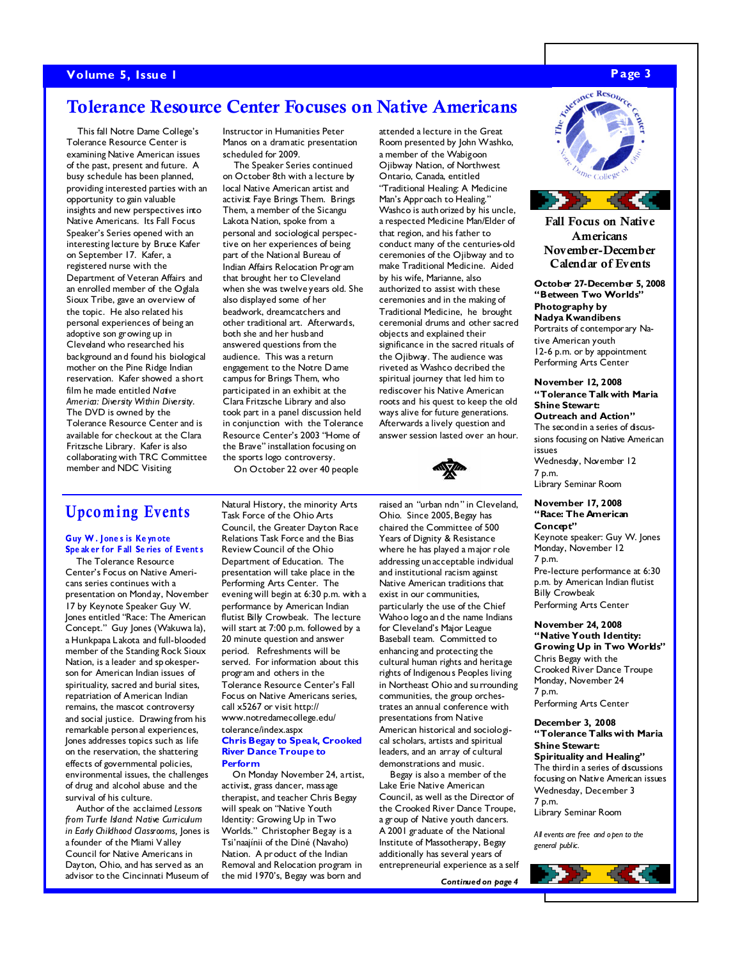#### Volume 5, Issue 1 and the set of the set of the set of the set of the set of the set of the set of the set of the set of the set of the set of the set of the set of the set of the set of the set of the set of the set of th

### Tolerance Resource Center Focuses on Native Americans

This fall Notre Dame College's Tolerance Resource Center is examining Native American issues of the past, present and future. A busy schedule has been planned, providing interested parties with an opportunity to gain valuable insights and new perspectives into Native Americans. Its Fall Focus Speaker's Series opened with an interesting lecture by Bruce Kafer on September 17. Kafer, a registered nurse with the Department of Veteran Affairs and an enrolled member of the Oglala Sioux Tribe, gave an overview of the topic. He also related his personal experiences of being an adoptive son growing up in Cleveland who researched his background and found his biological mother on the Pine Ridge Indian reservation. Kafer showed a short film he made entitled Native America: Diversity Within Diversity. The DVD is owned by the Tolerance Resource Center and is available for checkout at the Clara Fritzsche Library. Kafer is also collaborating with TRC Committee member and NDC Visiting

Instructor in Humanities Peter Manos on a dramatic presentation scheduled for 2009.

The Speaker Series continued on October 8th with a lecture by local Native American artist and activist Faye Brings Them. Brings Them, a member of the Sicangu Lakota Nation, spoke from a personal and sociological perspective on her experiences of being part of the National Bureau of Indian Affairs Relocation Program that brought her to Cleveland when she was twelve years old. She also displayed some of her beadwork, dreamcatchers and other traditional art. Afterwards, both she and her husband answered questions from the audience. This was a return engagement to the Notre Dame campus for Brings Them, who participated in an exhibit at the Clara Fritzsche Library and also took part in a panel discussion held in conjunction with the Tolerance Resource Center's 2003 "Home of the Brave" installation focusing on the sports logo controversy.

On October 22 over 40 people

attended a lecture in the Great Room presented by John Washko, a member of the Wabigoon Ojibway Nation, of Northwest Ontario, Canada, entitled "Traditional Healing: A Medicine Man's Approach to Healing." Washco is auth orized by his uncle, a respected Medicine Man/Elder of that region, and his father to conduct many of the centuries-old ceremonies of the Ojibway and to make Traditional Medicine. Aided by his wife, Marianne, also authorized to assist with these ceremonies and in the making of Traditional Medicine, he brought ceremonial drums and other sacred objects and explained their significance in the sacred rituals of the Ojibway. The audience was riveted as Washco decribed the spiritual journey that led him to rediscover his Native American roots and his quest to keep the old ways alive for future generations. Afterwards a lively question and answer session lasted over an hour.



## Upco ming Events

#### Guy W . Jone s is Ke yn ote Spe ak er for Fall Series of Events

The Tolerance Resource Center's Focus on Native Americans series continues with a presentation on Monday, November 17 by Keynote Speaker Guy W. Jones entitled "Race: The American Concept." Guy Jones (Wakuwa la), a Hunkpapa Lakota and full-blooded member of the Standing Rock Sioux Nation, is a leader and spokesperson for American Indian issues of spirituality, sacred and burial sites, repatriation of American Indian remains, the mascot controversy and social justice. Drawing from his remarkable personal experiences, Jones addresses topics such as life on the reservation, the shattering effects of governmental policies, environmental issues, the challenges of drug and alcohol abuse and the survival of his culture.

Author of the acclaimed Lessons from Turtle Island: Native Curriculum in Early Childhood Classrooms, Jones is a founder of the Miami V alley Council for Native Americans in Dayton, Ohio, and has served as an advisor to the Cincinnati Museum of

Natural History, the minority Arts Task Force of the Ohio Arts Council, the Greater Dayton Race Relations Task Force and the Bias Review Council of the Ohio Department of Education. The presentation will take place in the Performing Arts Center. The evening will begin at 6:30 p.m. with a performance by American Indian flutist Billy Crowbeak. The lecture will start at 7:00 p.m. followed by a 20 minute question and answer period. Refreshments will be served. For information about this program and others in the Tolerance Resource Center's Fall Focus on Native Americans series, call x5267 or visit http:// www.notredamecollege.edu/ tolerance/index.aspx Chris Begay to Speak, Crooked River Dance Troupe to Perform

On Monday November 24, artist, activist, grass dancer, massage therapist, and teacher Chris Begay will speak on "Native Youth Identity: Growing Up in Two Worlds." Christopher Begay is a Tsi'naajínii of the Diné (Navaho) Nation. A product of the Indian Removal and Relocation program in the mid 1970's, Begay was born and

raised an "urban ndn" in Cleveland, Ohio. Since 2005, Begay has chaired the Committee of 500 Years of Dignity & Resistance where he has played a major role addressing unacceptable individual and institutional racism against Native American traditions that exist in our communities, particularly the use of the Chief Wahoo logo and the name Indians for Cleveland's Major League Baseball team. Committed to enhancing and protecting the cultural human rights and heritage rights of Indigenous Peoples living in Northeast Ohio and surrounding communities, the group orchestrates an annual conference with presentations from Native American historical and sociological scholars, artists and spiritual leaders, and an array of cultural demonstrations and music.

Begay is also a member of the Lake Erie Native American Council, as well as the Director of the Crooked River Dance Troupe, a group of Native youth dancers. A 2001 graduate of the National Institute of Massotherapy, Begay additionally has several years of entrepreneurial experience as a self

Continued on page 4



Fall Focus on Native Americans November-December Calendar of Events

October 27-December 5, 2008 "Between Two Worlds" Photography by Nadya Kwandibens Portraits of contemporary Native American youth 12-6 p.m. or by appointment

Performing Arts Center

November 12, 2008 "Tolerance Talk with Maria Shine Stewart: Outreach and Action" The second in a series of discussions focusing on Native American issues Wednesday, November 12 7 p.m. Library Seminar Room

#### November 17, 2008 "Race: The American Concept"

Keynote speaker: Guy W. Jones Monday, November 12

7 p.m. Pre-lecture performance at 6:30 p.m. by American Indian flutist Billy Crowbeak Performing Arts Center

November 24, 2008 "Native Youth Identity: Growing Up in Two Worlds" Chris Begay with the Crooked River Dance Troupe Monday, November 24 7 p.m. Performing Arts Center

#### December 3, 2008 "Tolerance Talks with Maria Shine Stewart: Spirituality and Healing" The third in a series of discussions focusing on Native American issues

Wednesday, December 3 7 p.m. Library Seminar Room

All events are free and open to the general public.